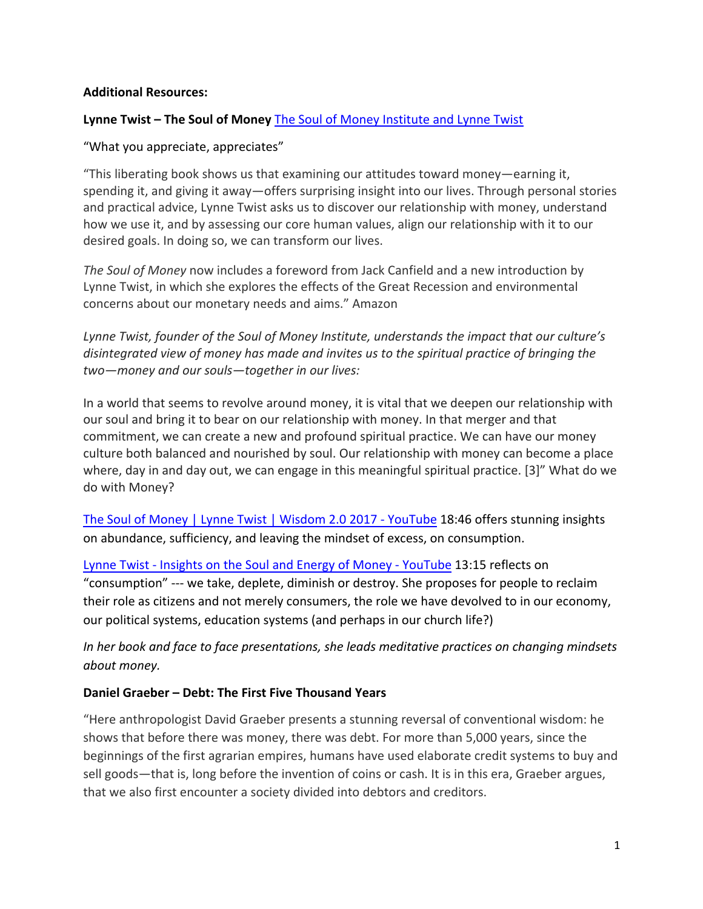# **Additional Resources:**

# **Lynne Twist - The Soul of Money** The Soul of Money Institute and Lynne Twist

### "What you appreciate, appreciates"

"This liberating book shows us that examining our attitudes toward money—earning it, spending it, and giving it away—offers surprising insight into our lives. Through personal stories and practical advice, Lynne Twist asks us to discover our relationship with money, understand how we use it, and by assessing our core human values, align our relationship with it to our desired goals. In doing so, we can transform our lives.

The Soul of Money now includes a foreword from Jack Canfield and a new introduction by Lynne Twist, in which she explores the effects of the Great Recession and environmental concerns about our monetary needs and aims." Amazon

Lynne Twist, founder of the Soul of Money Institute, understands the impact that our culture's disintegrated view of money has made and invites us to the spiritual practice of bringing the *two—money and our souls—together in our lives:*

In a world that seems to revolve around money, it is vital that we deepen our relationship with our soul and bring it to bear on our relationship with money. In that merger and that commitment, we can create a new and profound spiritual practice. We can have our money culture both balanced and nourished by soul. Our relationship with money can become a place where, day in and day out, we can engage in this meaningful spiritual practice. [3]" What do we do with Money?

The Soul of Money | Lynne Twist | Wisdom 2.0 2017 - YouTube 18:46 offers stunning insights on abundance, sufficiency, and leaving the mindset of excess, on consumption.

Lynne Twist - Insights on the Soul and Energy of Money - YouTube 13:15 reflects on "consumption" --- we take, deplete, diminish or destroy. She proposes for people to reclaim their role as citizens and not merely consumers, the role we have devolved to in our economy, our political systems, education systems (and perhaps in our church life?)

*In* her book and face to face presentations, she leads meditative practices on changing mindsets *about money.*

#### **Daniel Graeber – Debt: The First Five Thousand Years**

"Here anthropologist David Graeber presents a stunning reversal of conventional wisdom: he shows that before there was money, there was debt. For more than 5,000 years, since the beginnings of the first agrarian empires, humans have used elaborate credit systems to buy and sell goods—that is, long before the invention of coins or cash. It is in this era, Graeber argues, that we also first encounter a society divided into debtors and creditors.